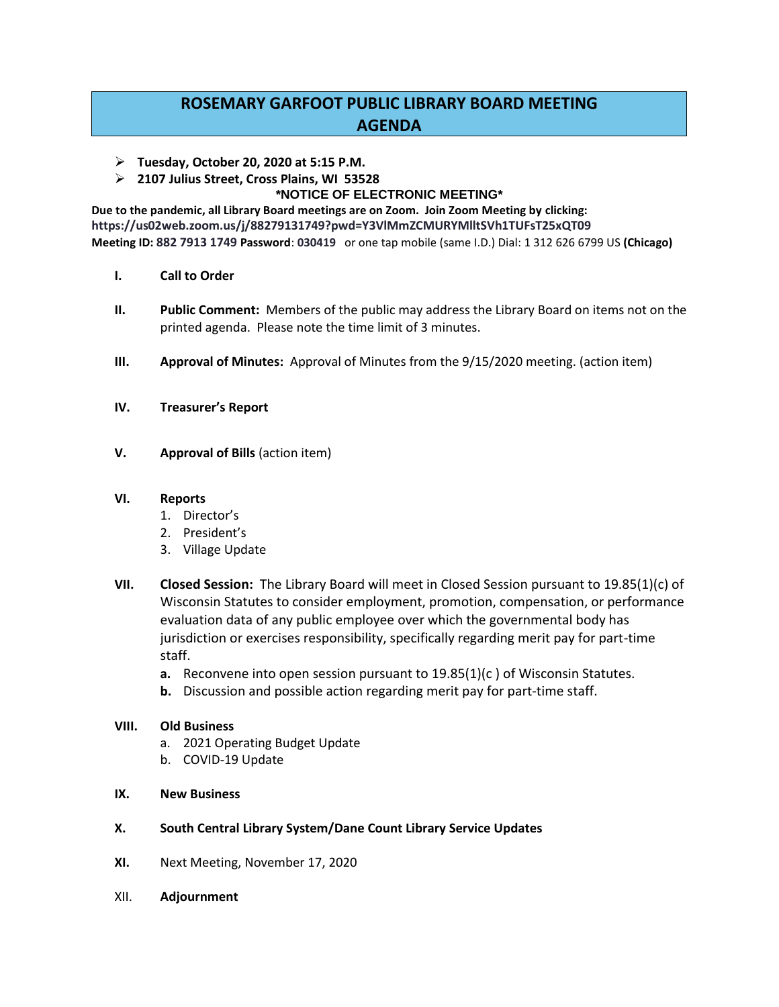## **ROSEMARY GARFOOT PUBLIC LIBRARY BOARD MEETING AGENDA**

- **Tuesday, October 20, 2020 at 5:15 P.M.**
- **2107 Julius Street, Cross Plains, WI 53528**

## **\*NOTICE OF ELECTRONIC MEETING\***

**Due to the pandemic, all Library Board meetings are on Zoom. Join Zoom Meeting by clicking: https://us02web.zoom.us/j/88279131749?pwd=Y3VlMmZCMURYMlltSVh1TUFsT25xQT09 Meeting ID: 882 7913 1749 Password**: **030419** or one tap mobile (same I.D.) Dial: 1 312 626 6799 US **(Chicago)**

- **I. Call to Order**
- **II. Public Comment:** Members of the public may address the Library Board on items not on the printed agenda. Please note the time limit of 3 minutes.
- **III. Approval of Minutes:** Approval of Minutes from the 9/15/2020 meeting. (action item)
- **IV. Treasurer's Report**
- **V. Approval of Bills** (action item)

## **VI. Reports**

- 1. Director's
- 2. President's
- 3. Village Update
- **VII. Closed Session:** The Library Board will meet in Closed Session pursuant to 19.85(1)(c) of Wisconsin Statutes to consider employment, promotion, compensation, or performance evaluation data of any public employee over which the governmental body has jurisdiction or exercises responsibility, specifically regarding merit pay for part-time staff.
	- **a.** Reconvene into open session pursuant to 19.85(1)(c ) of Wisconsin Statutes.
	- **b.** Discussion and possible action regarding merit pay for part-time staff.

## **VIII. Old Business**

- a. 2021 Operating Budget Update
- b. COVID-19 Update
- **IX. New Business**
- **X. South Central Library System/Dane Count Library Service Updates**
- **XI.** Next Meeting, November 17, 2020
- XII. **Adjournment**